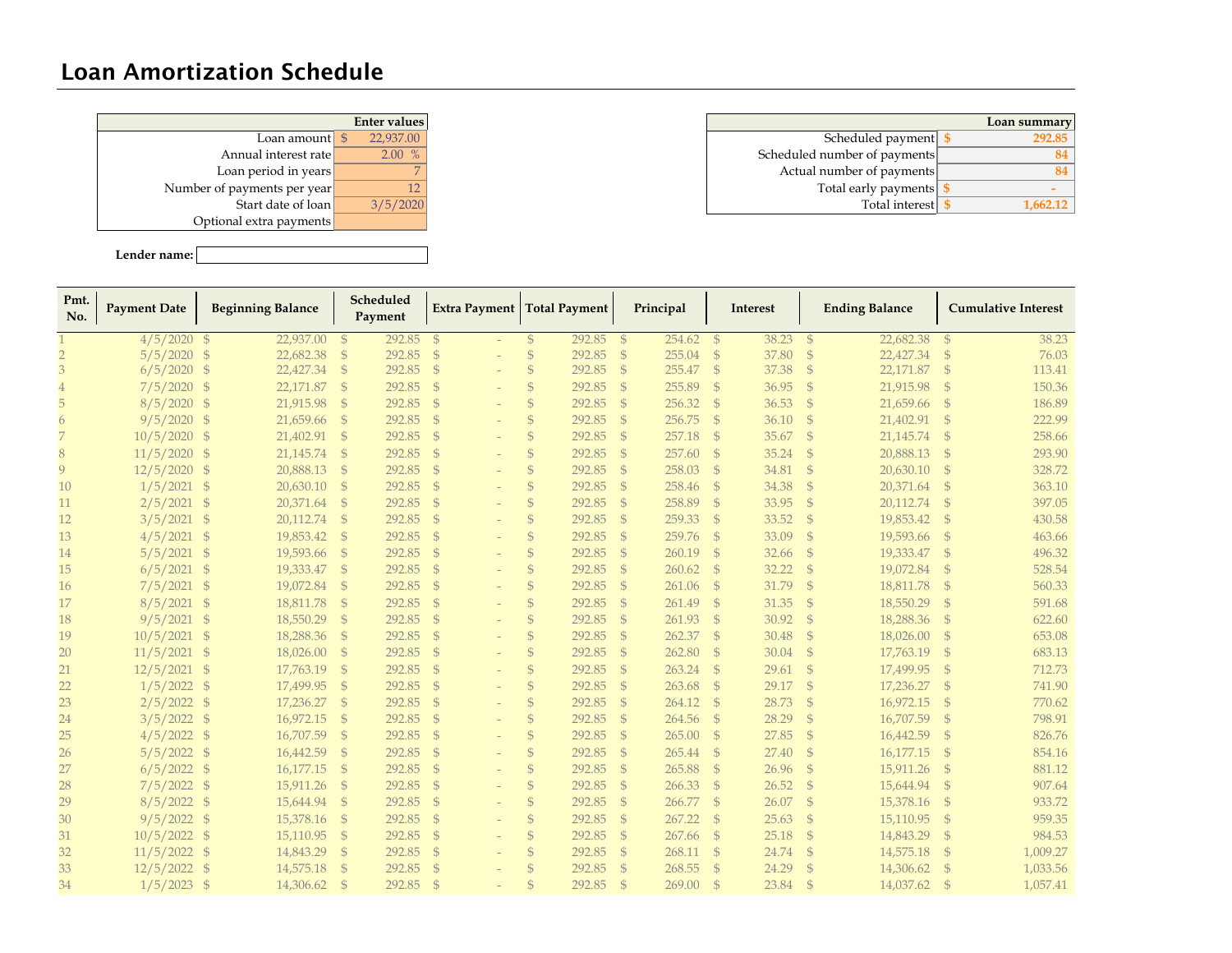## Loan Amortization Schedule

|                             | <b>Enter values</b> |
|-----------------------------|---------------------|
| Loan amount                 | 22,937.00<br>-\$    |
| Annual interest rate        | $\%$<br>2.00        |
| Loan period in years        |                     |
| Number of payments per year | 12                  |
| Start date of loan          | 3/5/2020            |
| Optional extra payments     |                     |
|                             |                     |

**Lender name:**

|                             | Enter values |                              | Loan summary |
|-----------------------------|--------------|------------------------------|--------------|
| Loan amount <b>L</b>        | 22,937,00    | Scheduled payment            | 292.85       |
| Annual interest rate        | 2.00%        | Scheduled number of payments |              |
| Loan period in years        |              | Actual number of payments    |              |
| Number of payments per year |              | Total early payments         |              |
| Start date of loan          | 3/5/2020     | Total interest               | 1,662.12     |

| Pmt.<br>No. | <b>Payment Date</b> | <b>Beginning Balance</b> |               | Scheduled<br>Payment |               | Extra Payment   Total Payment |               |        |               | Principal   |               | Interest |                | <b>Ending Balance</b> |               | <b>Cumulative Interest</b> |
|-------------|---------------------|--------------------------|---------------|----------------------|---------------|-------------------------------|---------------|--------|---------------|-------------|---------------|----------|----------------|-----------------------|---------------|----------------------------|
|             | $4/5/2020$ \$       | 22,937.00 \$             |               | 292.85               | - \$          |                               | $\mathcal{S}$ | 292.85 | - \$          | 254.62      | $\mathcal{S}$ | 38.23    | $\mathcal{S}$  | 22,682.38             | $\mathcal{S}$ | 38.23                      |
|             | $5/5/2020$ \$       | 22,682.38                | $\mathcal{S}$ | 292.85               | $\mathcal{S}$ |                               | $\mathcal{S}$ | 292.85 | $\mathcal{S}$ | 255.04      | $\mathcal{S}$ | 37.80    | $\mathcal{S}$  | 22,427.34             | $\mathbb{S}$  | 76.03                      |
|             | $6/5/2020$ \$       | 22,427.34                | $\mathcal{S}$ | 292.85               | $^{\circ}$    |                               | $\mathcal{S}$ | 292.85 | $\mathcal{S}$ | 255.47      | - \$          | 37.38    | $\mathcal{S}$  | 22,171.87             | $\mathcal{S}$ | 113.41                     |
|             | $7/5/2020$ \$       | 22,171.87                | $\mathcal{S}$ | 292.85               | $^{\circ}$    |                               | $\mathcal{S}$ | 292.85 | $\mathcal{S}$ | 255.89      | $\mathcal{S}$ | 36.95    | $\mathcal{S}$  | 21,915.98             | $\mathcal{S}$ | 150.36                     |
| 5           | $8/5/2020$ \$       | 21,915.98                | $\mathcal{S}$ | 292.85               | $^{\circ}$    |                               | $\mathcal{S}$ | 292.85 | $\mathcal{S}$ | 256.32      | $\mathcal{S}$ | 36.53    | $\mathcal{S}$  | 21,659.66             | $\mathcal{S}$ | 186.89                     |
| 6           | $9/5/2020$ \$       | 21,659.66                | $\mathbb{S}$  | 292.85               | $^{\circ}$    |                               | $\mathcal{S}$ | 292.85 | $\mathcal{S}$ | 256.75      | $\mathcal{S}$ | 36.10    | $\mathcal{S}$  | 21,402.91             | $\mathcal{S}$ | 222.99                     |
|             | $10/5/2020$ \$      | 21,402.91                | $\mathcal{S}$ | 292.85               | - \$          |                               | $\mathcal{S}$ | 292.85 | $\mathcal{S}$ | 257.18      | $\mathcal{S}$ | 35.67    | $\mathcal{S}$  | 21,145.74             | $\mathcal{S}$ | 258.66                     |
| 8           | $11/5/2020$ \$      | 21,145.74                | $\mathcal{S}$ | 292.85               | - \$          |                               | $\mathcal{S}$ | 292.85 | $\mathcal{S}$ | 257.60      | $\mathcal{S}$ | 35.24    | $\mathcal{S}$  | 20,888.13             | $\mathcal{S}$ | 293.90                     |
| 9           | $12/5/2020$ \$      | 20,888.13                | $\mathcal{S}$ | 292.85               | - \$          |                               | $\mathcal{S}$ | 292.85 | $\mathcal{S}$ | 258.03      | $\mathcal{S}$ | 34.81    | $\mathcal{S}$  | 20,630.10             | $\mathcal{S}$ | 328.72                     |
| 10          | $1/5/2021$ \$       | 20,630.10                | $\mathbb{S}$  | 292.85               | - \$          |                               | $\mathcal{S}$ | 292.85 | $\mathcal{S}$ | 258.46      | $\mathcal{S}$ | 34.38    | $\mathcal{S}$  | 20,371.64             | $\mathcal{S}$ | 363.10                     |
| 11          | $2/5/2021$ \$       | 20,371.64                | $\mathcal{S}$ | 292.85               | - \$          |                               | $\mathcal{S}$ | 292.85 | $\mathcal{S}$ | 258.89      | $\mathcal{S}$ | 33.95    | $\mathcal{S}$  | 20,112.74             | $\mathcal{S}$ | 397.05                     |
| 12          | $3/5/2021$ \$       | 20,112.74                | $\mathbb{S}$  | 292.85               | $^{\circ}$    |                               | $\mathcal{S}$ | 292.85 | - \$          | 259.33      | $\mathcal{S}$ | 33.52    | $\mathcal{S}$  | 19,853.42             | $\mathcal{S}$ | 430.58                     |
| 13          | $4/5/2021$ \$       | 19,853.42                | $\mathcal{S}$ | 292.85 \$            |               |                               | $\mathcal{S}$ | 292.85 | - \$          | 259.76      | $\mathcal{S}$ | 33.09    | $\mathcal{S}$  | 19,593.66             | $\mathcal{S}$ | 463.66                     |
| 14          | $5/5/2021$ \$       | 19,593.66                | $\mathbb{S}$  | 292.85 \$            |               |                               | $\mathcal{S}$ | 292.85 | - \$          | 260.19      | - \$          | 32.66    | $\mathcal{S}$  | 19,333.47             | - \$          | 496.32                     |
| 15          | $6/5/2021$ \$       | 19,333.47                | - \$          | 292.85 \$            |               |                               | $\mathbb{S}$  | 292.85 | - \$          | 260.62      | $\mathcal{S}$ | 32.22    | $\mathcal{S}$  | 19,072.84             | - \$          | 528.54                     |
| 16          | $7/5/2021$ \$       | 19,072.84                | $\mathcal{S}$ | 292.85 \$            |               |                               | $\mathcal{S}$ | 292.85 | - \$          | $261.06$ \$ |               | 31.79    | $-\frac{6}{5}$ | 18,811.78             | - \$          | 560.33                     |
| 17          | $8/5/2021$ \$       | 18,811.78                | $\mathcal{S}$ | 292.85 \$            |               |                               | $\mathcal{S}$ | 292.85 | - \$          | 261.49      | $\mathcal{S}$ | 31.35    | $\mathcal{S}$  | 18,550.29             | $\mathcal{S}$ | 591.68                     |
| 18          | $9/5/2021$ \$       | 18,550.29                | $\mathcal{S}$ | 292.85 \$            |               |                               | $\mathcal{S}$ | 292.85 | - \$          | 261.93      | $\mathcal{S}$ | 30.92    | $\mathcal{S}$  | 18,288.36             | - \$          | 622.60                     |
| 19          | $10/5/2021$ \$      | 18,288.36                | $\mathbb{S}$  | 292.85 \$            |               |                               | $\mathcal{S}$ | 292.85 | - \$          | 262.37      | $\mathcal{S}$ | 30.48    | $\mathcal{S}$  | 18,026.00             | $\mathcal{S}$ | 653.08                     |
| 20          | $11/5/2021$ \$      | 18,026.00                | $\mathbb{S}$  | 292.85 \$            |               |                               | $\mathcal{S}$ | 292.85 | - \$          | 262.80      | $\mathcal{S}$ | 30.04    | $\mathcal{S}$  | 17,763.19             | $\mathcal{S}$ | 683.13                     |
| 21          | $12/5/2021$ \$      | 17,763.19                | $\mathbb{S}$  | 292.85               | $^{\circ}$    |                               | $\mathcal{S}$ | 292.85 | $\mathcal{S}$ | 263.24      | $\mathcal{S}$ | 29.61    | $\mathcal{S}$  | 17,499.95             | $\mathcal{S}$ | 712.73                     |
| 22          | $1/5/2022$ \$       | 17,499.95                | $\mathcal{S}$ | 292.85               | $^{\circ}$    |                               | $\mathcal{S}$ | 292.85 | $\mathcal{S}$ | 263.68      | $\mathcal{S}$ | 29.17    | $\mathcal{S}$  | 17,236.27             | $\mathcal{S}$ | 741.90                     |
| 23          | $2/5/2022$ \$       | 17,236.27                | $\mathcal{S}$ | 292.85               | - \$          |                               | $\mathcal{S}$ | 292.85 | $\mathcal{S}$ | 264.12      | $\mathcal{S}$ | 28.73    | $\mathcal{S}$  | 16,972.15             | $\mathcal{S}$ | 770.62                     |
| 24          | $3/5/2022$ \$       | 16,972.15                | $\mathbb{S}$  | 292.85               | - \$          |                               | $\mathcal{S}$ | 292.85 | $\mathcal{S}$ | 264.56      | $\mathcal{S}$ | 28.29    | $\mathcal{S}$  | 16,707.59             | $\mathcal{S}$ | 798.91                     |
| 25          | $4/5/2022$ \$       | 16,707.59                | $\mathcal{S}$ | 292.85               | - \$          |                               | $\mathcal{S}$ | 292.85 | $\mathcal{S}$ | 265.00      | $\mathcal{S}$ | 27.85    | $\mathcal{S}$  | 16,442.59             | $\mathcal{S}$ | 826.76                     |
| 26          | $5/5/2022$ \$       | 16,442.59                | $\mathbb{S}$  | 292.85               | $^{\circ}$    |                               | $\mathcal{S}$ | 292.85 | $\mathcal{S}$ | 265.44      | $\mathcal{S}$ | 27.40    | $\mathcal{S}$  | 16,177.15             | $\mathcal{S}$ | 854.16                     |
| 27          | $6/5/2022$ \$       | 16,177.15                | $\mathbb{S}$  | 292.85               | $^{\circ}$    |                               | $\mathcal{S}$ | 292.85 | $\mathcal{S}$ | 265.88      | $\mathcal{S}$ | 26.96    | $\mathcal{S}$  | 15,911.26             | $\mathcal{S}$ | 881.12                     |
| 28          | $7/5/2022$ \$       | 15,911.26                | $\mathbb{S}$  | 292.85               | $\mathcal{S}$ |                               | $\mathcal{S}$ | 292.85 | $\mathcal{S}$ | 266.33      | $\mathbb{S}$  | 26.52    | $\mathcal{S}$  | 15,644.94             | $\mathcal{S}$ | 907.64                     |
| 29          | $8/5/2022$ \$       | 15,644.94                | $\mathbb{S}$  | 292.85               | $\mathcal{S}$ |                               | $\mathbb{S}$  | 292.85 | $\mathcal{S}$ | 266.77      | $\mathcal{S}$ | 26.07    | $\mathcal{S}$  | 15,378.16             | - \$          | 933.72                     |
| 30          | $9/5/2022$ \$       | 15,378.16                | <sup>S</sup>  | 292.85               | $\mathcal{S}$ |                               | $\mathbb{S}$  | 292.85 | $\mathcal{S}$ | 267.22      | $\mathcal{S}$ | 25.63    | $\mathcal{S}$  | 15,110.95             | $\mathcal{S}$ | 959.35                     |
| 31          | $10/5/2022$ \$      | 15,110.95                | $\mathbb{S}$  | 292.85               | $\mathcal{S}$ |                               | $\mathbb{S}$  | 292.85 | $\mathcal{S}$ | 267.66      | $\mathcal{S}$ | 25.18    | $\mathcal{S}$  | 14,843.29             | $\mathcal{S}$ | 984.53                     |
| 32          | $11/5/2022$ \$      | 14,843.29                | $\mathbb{S}$  | 292.85               | $\mathcal{S}$ |                               | $\mathcal{S}$ | 292.85 | - \$          | 268.11      | $\mathcal{S}$ | 24.74    | $\mathcal{S}$  | 14,575.18             | $\mathcal{S}$ | 1,009.27                   |
| 33          | $12/5/2022$ \$      | 14,575.18                | $\mathbb{S}$  | 292.85               | $\mathcal{S}$ |                               | $\mathcal{S}$ | 292.85 | $\mathcal{S}$ | 268.55      | $\mathcal{S}$ | 24.29    | $\mathcal{S}$  | 14,306.62             | $\mathbb{S}$  | 1,033.56                   |
| 34          | $1/5/2023$ \$       | 14,306.62                | $\mathcal{L}$ | 292.85               |               |                               |               | 292.85 | $\mathcal{S}$ | 269.00      | $\mathcal{S}$ | 23.84    |                | 14,037.62             |               | 1,057.41                   |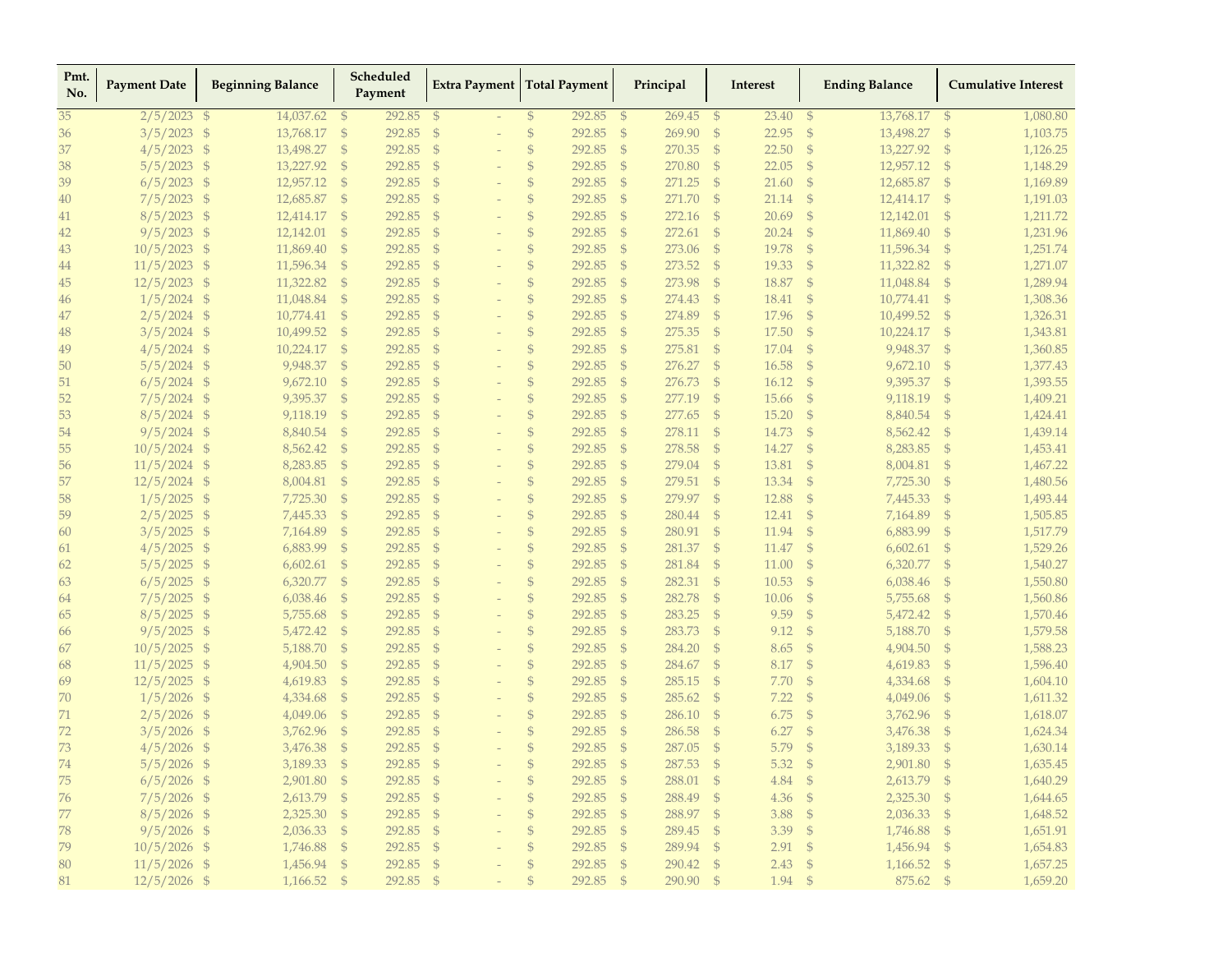| Pmt.<br>No. | <b>Payment Date</b> | <b>Beginning Balance</b>   |               | Scheduled<br>Payment |               | <b>Extra Payment</b>     |                | <b>Total Payment</b> |               | Principal |               | <b>Interest</b> |                | <b>Ending Balance</b> |                | <b>Cumulative Interest</b> |
|-------------|---------------------|----------------------------|---------------|----------------------|---------------|--------------------------|----------------|----------------------|---------------|-----------|---------------|-----------------|----------------|-----------------------|----------------|----------------------------|
| 35          | $2/5/2023$ \$       | 14,037.62                  | $\mathcal{S}$ | 292.85               | - \$          |                          | $\mathfrak{S}$ | 292.85               | $\mathbb{S}$  | 269.45    | - \$          | 23.40           | $\mathcal{S}$  | 13,768.17             | - \$           | 1,080.80                   |
| 36          | $3/5/2023$ \$       | 13,768.17                  | $\mathcal{S}$ | 292.85               | $\mathcal{S}$ |                          | $\mathcal{S}$  | 292.85               | $\mathcal{S}$ | 269.90    | $\mathcal{S}$ | 22.95           | $\mathcal{S}$  | 13,498.27             | $\mathcal{S}$  | 1,103.75                   |
| 37          | $4/5/2023$ \$       | 13,498.27                  | $\mathcal{S}$ | 292.85               | $\mathcal{S}$ |                          | $\mathcal{S}$  | 292.85               | - \$          | 270.35    | $\mathcal{S}$ | 22.50           | $\mathcal{S}$  | 13,227.92             | $\mathcal{S}$  | 1,126.25                   |
| 38          | $5/5/2023$ \$       | 13,227.92                  | $\mathcal{S}$ | 292.85               | $\mathcal{S}$ |                          | $\mathbb{S}$   | 292.85               | \$            | 270.80    | \$            | 22.05           | $\mathcal{S}$  | 12,957.12             | $\mathfrak{s}$ | 1,148.29                   |
| 39          | $6/5/2023$ \$       | 12,957.12                  | $\mathcal{S}$ | 292.85               | $\mathcal{S}$ |                          | $\mathcal{S}$  | 292.85               | $\mathcal{S}$ | 271.25    | $\mathcal{S}$ | 21.60           | $\mathcal{S}$  | 12,685.87             | $\mathcal{S}$  | 1,169.89                   |
| 40          | $7/5/2023$ \$       | 12,685.87                  | $\mathcal{S}$ | 292.85               | $\mathcal{S}$ |                          | $\mathcal{S}$  | 292.85               | $\oint$       | 271.70    | $\mathcal{S}$ | 21.14           | $\mathcal{S}$  | 12,414.17             | $\mathcal{S}$  | 1,191.03                   |
| 41          | $8/5/2023$ \$       | 12,414.17                  | $\mathcal{S}$ | 292.85               | $\mathcal{S}$ |                          | $\mathcal{S}$  | 292.85               | $\mathcal{S}$ | 272.16    | $\mathcal{S}$ | 20.69           | $\mathcal{S}$  | 12,142.01             | $\mathfrak{S}$ | 1,211.72                   |
| 42          | $9/5/2023$ \$       | 12,142.01                  | $\mathcal{S}$ | 292.85               | \$            |                          | $\mathcal{S}$  | 292.85               | \$            | 272.61    | $\mathcal{S}$ | 20.24           | $\mathcal{S}$  | 11,869.40             | - \$           | 1,231.96                   |
| 43          | $10/5/2023$ \$      | 11,869.40                  | $\mathbb{S}$  | 292.85               | $\mathcal{S}$ | $\overline{\phantom{a}}$ | $\mathcal{S}$  | 292.85               | $\mathcal{S}$ | 273.06    | $\mathcal{S}$ | 19.78           | $\mathcal{S}$  | 11,596.34             | -\$            | 1,251.74                   |
| 44          | $11/5/2023$ \$      | 11,596.34                  | $\mathbb{S}$  | 292.85               | $\mathcal{S}$ |                          | $\mathcal{S}$  | 292.85               | $\mathcal{S}$ | 273.52    | $\mathcal{S}$ | 19.33           | $\mathcal{S}$  | 11,322.82             | $\mathcal{S}$  | 1,271.07                   |
| 45          | $12/5/2023$ \$      | 11,322.82                  | $\mathbb{S}$  | 292.85               | $\mathcal{S}$ |                          | $\mathcal{S}$  | 292.85               | $\mathcal{S}$ | 273.98    | $\mathcal{S}$ | 18.87           | $\mathcal{S}$  | 11,048.84             | $\mathcal{S}$  | 1,289.94                   |
| 46          | $1/5/2024$ \$       | 11,048.84                  | $\mathcal{S}$ | 292.85               | $\mathcal{S}$ |                          | $\mathcal{S}$  | 292.85               | - \$          | 274.43    | $\mathcal{S}$ | 18.41           | $\mathcal{S}$  | 10,774.41             | $\mathbb{S}$   | 1,308.36                   |
| 47          | $2/5/2024$ \$       | 10,774.41                  | $\mathcal{S}$ | 292.85               | $\mathcal{S}$ |                          | $\mathcal{S}$  | 292.85               | \$            | 274.89    | $\mathcal{S}$ | 17.96           | $\mathcal{S}$  | 10,499.52             | - \$           | 1,326.31                   |
| 48          | $3/5/2024$ \$       | 10,499.52                  | $\mathbb{S}$  | 292.85               | $\mathcal{S}$ |                          | $\mathcal{S}$  | 292.85               | $\mathcal{S}$ | 275.35    | $\mathcal{S}$ | 17.50           | $\mathcal{S}$  | 10,224.17             | $\mathcal{S}$  | 1,343.81                   |
| 49          | $4/5/2024$ \$       | 10,224.17                  | $\mathcal{S}$ | 292.85               | $\mathcal{S}$ |                          | $\mathcal{S}$  | 292.85               | $\mathcal{S}$ | 275.81    | $\mathcal{S}$ | 17.04           | $\mathcal{S}$  | 9,948.37              | $\mathcal{S}$  | 1,360.85                   |
| 50          | $5/5/2024$ \$       | 9,948.37                   | $\mathcal{S}$ | 292.85               | $\mathcal{S}$ |                          | $\mathcal{S}$  | 292.85               | $\mathcal{S}$ | 276.27    | $\mathcal{S}$ | 16.58           | $\mathcal{S}$  | 9,672.10              | $\mathcal{S}$  | 1,377.43                   |
| 51          | $6/5/2024$ \$       | 9,672.10                   | $\mathcal{S}$ | 292.85               | \$            |                          | $\mathcal{S}$  | 292.85               | \$            | 276.73    | $\mathcal{S}$ | 16.12           | $\mathcal{S}$  | 9,395.37              | $\mathcal{S}$  | 1,393.55                   |
| 52          | $7/5/2024$ \$       | 9,395.37                   | $\mathbb{S}$  | 292.85               | $\mathcal{S}$ | $\overline{\phantom{a}}$ | $\mathcal{S}$  | 292.85               | $\mathcal{S}$ | 277.19    | $\mathcal{S}$ | 15.66           | $\mathcal{S}$  | 9,118.19              | $\mathcal{S}$  | 1,409.21                   |
| 53          | $8/5/2024$ \$       | 9,118.19                   | $\mathcal{S}$ | 292.85               | $\mathcal{S}$ |                          | $\mathcal{S}$  | 292.85               | $\mathcal{S}$ | 277.65    | $\mathcal{S}$ | 15.20           | $\mathcal{S}$  | 8,840.54              | $\mathcal{S}$  | 1,424.41                   |
| 54          | $9/5/2024$ \$       | 8,840.54                   | $\mathbb{S}$  | 292.85               | $\mathcal{S}$ |                          | $\mathcal{S}$  | 292.85               | $\mathcal{S}$ | 278.11    | $\mathcal{S}$ | 14.73           | $\mathcal{S}$  | 8,562.42              | $\mathcal{S}$  | 1,439.14                   |
| 55          | $10/5/2024$ \$      | 8,562.42                   | $\mathbb{S}$  | 292.85               | $\mathcal{S}$ |                          | $\mathcal{S}$  | 292.85               | $\mathcal{S}$ | 278.58    | $\mathcal{S}$ | 14.27           | $\mathcal{S}$  | 8,283.85              | $\mathcal{S}$  | 1,453.41                   |
| 56          | $11/5/2024$ \$      | 8,283.85                   | $\mathcal{S}$ | 292.85               | \$            | $\overline{\phantom{a}}$ | $\mathcal{S}$  | 292.85               | $^{\circ}$    | 279.04 \$ |               | 13.81           | - \$           | 8,004.81              | - \$           | 1,467.22                   |
| 57          | $12/5/2024$ \$      | 8,004.81                   | $\mathcal{S}$ | 292.85               | $\mathcal{S}$ |                          | $\mathcal{S}$  | 292.85               | $\mathcal{S}$ | 279.51    | $\mathcal{S}$ | 13.34           | $\mathcal{S}$  | 7,725.30              | -\$            | 1,480.56                   |
| 58          | $1/5/2025$ \$       | 7,725.30                   | $\mathcal{S}$ | 292.85               | \$            |                          | $\mathcal{S}$  | 292.85               | $\mathcal{S}$ | 279.97    | $\mathcal{S}$ | 12.88           | $\mathcal{S}$  | 7,445.33              | $\mathcal{S}$  | 1,493.44                   |
| 59          | $2/5/2025$ \$       | 7,445.33                   | $\mathcal{S}$ | 292.85               | $\mathcal{S}$ |                          | $\mathcal{S}$  | 292.85               | $\mathcal{S}$ | 280.44    | $\mathcal{S}$ | 12.41           | $\mathcal{S}$  | 7,164.89              | $\mathcal{S}$  | 1,505.85                   |
| 60          | $3/5/2025$ \$       | 7,164.89                   | $\mathcal{S}$ | 292.85               | $\mathcal{S}$ |                          | $\mathcal{S}$  | 292.85               | - \$          | 280.91    | $\mathcal{S}$ | 11.94           | $\mathcal{S}$  | 6,883.99              | $\mathcal{S}$  | 1,517.79                   |
| 61          | 4/5/2025            | - \$<br>6,883.99           | $\mathcal{S}$ | 292.85               | $\mathcal{S}$ | $\overline{\phantom{a}}$ | $\mathcal{S}$  | 292.85               | $\mathcal{S}$ | 281.37    | $\mathcal{S}$ | 11.47           | $\mathcal{S}$  | 6,602.61              | $\mathcal{S}$  | 1,529.26                   |
| 62          | 5/5/2025            | $\mathcal{S}$<br>6,602.61  | $\mathbb{S}$  | 292.85               | $\mathcal{S}$ |                          | $\mathcal{S}$  | 292.85               | $\mathcal{S}$ | 281.84    | $\mathcal{S}$ | 11.00           | $\mathcal{S}$  | 6,320.77              | $\mathcal{S}$  | 1,540.27                   |
| 63          | $6/5/2025$ \$       | 6,320.77                   | $\mathcal{S}$ | 292.85               | $\mathcal{S}$ |                          | $\mathcal{S}$  | 292.85               | $\mathcal{S}$ | 282.31    | $\mathcal{S}$ | 10.53           | $\mathcal{S}$  | 6,038.46              | $\mathcal{S}$  | 1,550.80                   |
| 64          | 7/5/2025            | $\mathfrak{S}$<br>6,038.46 | $\mathcal{S}$ | 292.85               | $\mathcal{S}$ |                          | $\mathcal{S}$  | 292.85               | $\mathcal{S}$ | 282.78    | $\mathcal{S}$ | 10.06           | $\mathcal{S}$  | 5,755.68              | $\mathcal{S}$  | 1,560.86                   |
| 65          | $8/5/2025$ \$       | 5,755.68                   | $\mathcal{S}$ | 292.85               | \$            | $\overline{\phantom{a}}$ | $\mathcal{S}$  | 292.85               | \$            | 283.25    | $\mathcal{S}$ | 9.59            | $\mathcal{S}$  | 5,472.42              | - \$           | 1,570.46                   |
| 66          | $9/5/2025$ \$       | 5,472.42                   | $\mathbb{S}$  | 292.85               | $\mathcal{S}$ | $\qquad \qquad -$        | $\mathcal{S}$  | 292.85               | $\mathcal{S}$ | 283.73    | $\mathcal{S}$ | 9.12            | $\mathcal{S}$  | 5,188.70              | $\mathcal{S}$  | 1,579.58                   |
| 67          | $10/5/2025$ \$      | 5,188.70                   | $\mathcal{S}$ | 292.85               | $\mathcal{S}$ |                          | $\mathcal{S}$  | 292.85               | $\mathcal{S}$ | 284.20    | $\mathcal{S}$ | 8.65            | $\mathcal{S}$  | 4,904.50              | $\mathcal{S}$  | 1,588.23                   |
| 68          | $11/5/2025$ \$      | 4,904.50                   | $\mathcal{S}$ | 292.85               | $\mathcal{S}$ |                          | $\mathcal{S}$  | 292.85               | $\mathcal{S}$ | 284.67    | $\mathcal{S}$ | 8.17            | $\mathcal{S}$  | 4,619.83              | $\mathcal{S}$  | 1,596.40                   |
| 69          | $12/5/2025$ \$      | 4,619.83                   | $\mathbb{S}$  | 292.85               | $\mathcal{S}$ |                          | $\mathcal{S}$  | 292.85               | \$            | 285.15    | $\mathcal{S}$ | 7.70            | $\mathcal{S}$  | 4,334.68              | $\mathcal{S}$  | 1,604.10                   |
| 70          | $1/5/2026$ \$       | 4,334.68                   | $\mathcal{S}$ | 292.85               | $\mathcal{S}$ |                          | $\mathcal{S}$  | 292.85               | - \$          | 285.62    | $\mathcal{S}$ | 7.22            | $\mathcal{S}$  | 4,049.06              | -\$            | 1,611.32                   |
| 71          | 2/5/2026            | $\mathcal{S}$<br>4,049.06  | $\mathcal{S}$ | 292.85               | $\mathcal{S}$ |                          | $\mathcal{S}$  | 292.85               | $\mathcal{S}$ | 286.10    | $\mathcal{S}$ | 6.75            | $\mathcal{S}$  | 3,762.96              | $\mathcal{S}$  | 1,618.07                   |
| 72          | 3/5/2026            | \$<br>3,762.96             | $\mathbb{S}$  | 292.85               | $\mathcal{S}$ |                          | $\mathcal{S}$  | 292.85               | $\mathcal{S}$ | 286.58    | $\mathcal{S}$ | 6.27            | $\mathcal{S}$  | 3,476.38              | $\mathcal{S}$  | 1,624.34                   |
| 73          | $4/5/2026$ \$       | 3,476.38                   | $\mathbb{S}$  | 292.85               | $\mathcal{S}$ |                          | $\mathcal{S}$  | 292.85               | $\mathcal{S}$ | 287.05    | $\mathcal{S}$ | 5.79            | $\mathcal{S}$  | 3,189.33              | $\mathcal{S}$  | 1,630.14                   |
| 74          | $5/5/2026$ \$       | 3,189.33 \$                |               | 292.85 \$            |               |                          | $\mathcal{S}$  | 292.85 \$            |               | 287.53 \$ |               | 5.32            | $\mathfrak{s}$ | 2,901.80 \$           |                | 1,635.45                   |
| 75          | $6/5/2026$ \$       | 2,901.80 \$                |               | 292.85 \$            |               |                          | $\mathbb{S}$   | 292.85 \$            |               | 288.01 \$ |               | 4.84            | - \$           | 2,613.79 \$           |                | 1,640.29                   |
| 76          | $7/5/2026$ \$       | 2,613.79 \$                |               | 292.85 \$            |               |                          | $\mathcal{S}$  | 292.85 \$            |               | 288.49 \$ |               | 4.36            | $\mathfrak{s}$ | 2,325.30 \$           |                | 1,644.65                   |
| 77          | $8/5/2026$ \$       | 2,325.30 \$                |               | 292.85 \$            |               |                          | $\mathbb{S}$   | 292.85 \$            |               | 288.97 \$ |               | 3.88            | $-\$$          | $2,036.33$ \$         |                | 1,648.52                   |
| 78          | $9/5/2026$ \$       | $2,036.33$ \$              |               | 292.85 \$            |               |                          | $\frac{1}{2}$  | 292.85 \$            |               | 289.45 \$ |               | $3.39$ \$       |                | 1,746.88 \$           |                | 1,651.91                   |
| 79          | $10/5/2026$ \$      | 1,746.88 \$                |               | 292.85 \$            |               |                          | $\frac{1}{2}$  | 292.85 \$            |               | 289.94 \$ |               | $2.91$ \$       |                | 1,456.94 \$           |                | 1,654.83                   |
| 80          | $11/5/2026$ \$      | 1,456.94 \$                |               | 292.85 \$            |               |                          | $\frac{1}{2}$  | 292.85 \$            |               | 290.42 \$ |               | 2.43            | - \$           | 1,166.52 \$           |                | 1,657.25                   |
| 81          | $12/5/2026$ \$      | 1,166.52 \$                |               | 292.85 \$            |               |                          | $\mathcal{S}$  | 292.85 \$            |               | 290.90 \$ |               | $1.94$ \$       |                | 875.62 \$             |                | 1,659.20                   |